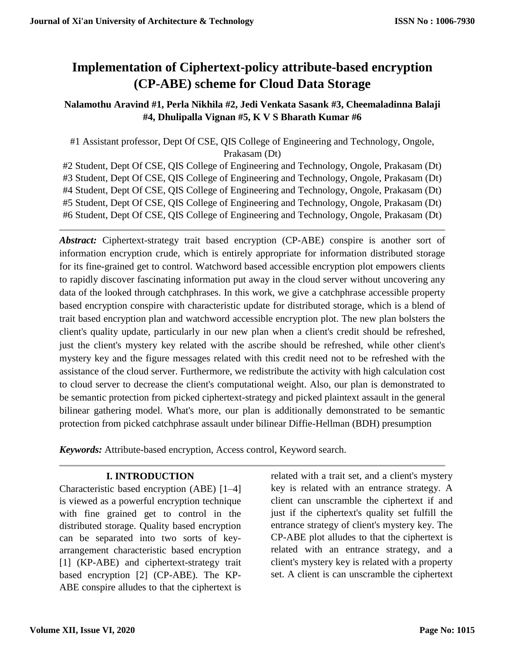# **Implementation of Ciphertext-policy attribute-based encryption (CP-ABE) scheme for Cloud Data Storage**

## **Nalamothu Aravind #1, Perla Nikhila #2, Jedi Venkata Sasank #3, Cheemaladinna Balaji #4, Dhulipalla Vignan #5, K V S Bharath Kumar #6**

#1 Assistant professor, Dept Of CSE, QIS College of Engineering and Technology, Ongole, Prakasam (Dt)

#2 Student, Dept Of CSE, QIS College of Engineering and Technology, Ongole, Prakasam (Dt) #3 Student, Dept Of CSE, QIS College of Engineering and Technology, Ongole, Prakasam (Dt) #4 Student, Dept Of CSE, QIS College of Engineering and Technology, Ongole, Prakasam (Dt) #5 Student, Dept Of CSE, QIS College of Engineering and Technology, Ongole, Prakasam (Dt) #6 Student, Dept Of CSE, QIS College of Engineering and Technology, Ongole, Prakasam (Dt)

*Abstract:* Ciphertext-strategy trait based encryption (CP-ABE) conspire is another sort of information encryption crude, which is entirely appropriate for information distributed storage for its fine-grained get to control. Watchword based accessible encryption plot empowers clients to rapidly discover fascinating information put away in the cloud server without uncovering any data of the looked through catchphrases. In this work, we give a catchphrase accessible property based encryption conspire with characteristic update for distributed storage, which is a blend of trait based encryption plan and watchword accessible encryption plot. The new plan bolsters the client's quality update, particularly in our new plan when a client's credit should be refreshed, just the client's mystery key related with the ascribe should be refreshed, while other client's mystery key and the figure messages related with this credit need not to be refreshed with the assistance of the cloud server. Furthermore, we redistribute the activity with high calculation cost to cloud server to decrease the client's computational weight. Also, our plan is demonstrated to be semantic protection from picked ciphertext-strategy and picked plaintext assault in the general bilinear gathering model. What's more, our plan is additionally demonstrated to be semantic protection from picked catchphrase assault under bilinear Diffie-Hellman (BDH) presumption

*Keywords:* Attribute-based encryption, Access control, Keyword search.

# **I. INTRODUCTION**

Characteristic based encryption (ABE) [1–4] is viewed as a powerful encryption technique with fine grained get to control in the distributed storage. Quality based encryption can be separated into two sorts of keyarrangement characteristic based encryption [1] (KP-ABE) and ciphertext-strategy trait based encryption [2] (CP-ABE). The KP-ABE conspire alludes to that the ciphertext is related with a trait set, and a client's mystery key is related with an entrance strategy. A client can unscramble the ciphertext if and just if the ciphertext's quality set fulfill the entrance strategy of client's mystery key. The CP-ABE plot alludes to that the ciphertext is related with an entrance strategy, and a client's mystery key is related with a property set. A client is can unscramble the ciphertext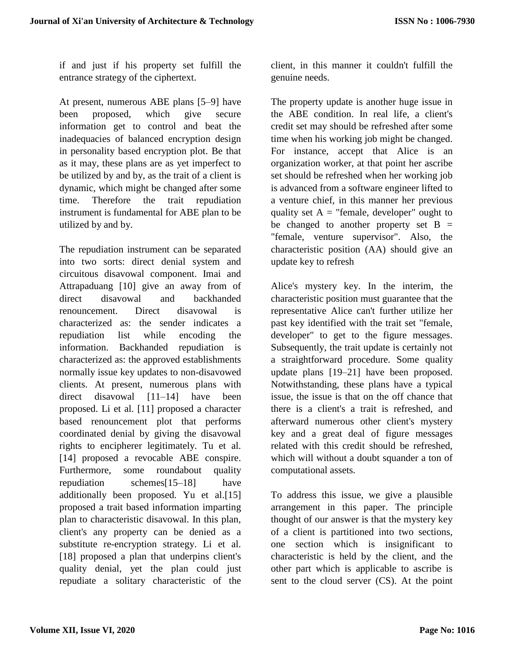if and just if his property set fulfill the entrance strategy of the ciphertext.

At present, numerous ABE plans [5–9] have been proposed, which give secure information get to control and beat the inadequacies of balanced encryption design in personality based encryption plot. Be that as it may, these plans are as yet imperfect to be utilized by and by, as the trait of a client is dynamic, which might be changed after some time. Therefore the trait repudiation instrument is fundamental for ABE plan to be utilized by and by.

The repudiation instrument can be separated into two sorts: direct denial system and circuitous disavowal component. Imai and Attrapaduang [10] give an away from of direct disavowal and backhanded renouncement. Direct disavowal is characterized as: the sender indicates a repudiation list while encoding the information. Backhanded repudiation is characterized as: the approved establishments normally issue key updates to non-disavowed clients. At present, numerous plans with direct disavowal [11–14] have been proposed. Li et al. [11] proposed a character based renouncement plot that performs coordinated denial by giving the disavowal rights to encipherer legitimately. Tu et al. [14] proposed a revocable ABE conspire. Furthermore, some roundabout quality repudiation schemes[15–18] have additionally been proposed. Yu et al.[15] proposed a trait based information imparting plan to characteristic disavowal. In this plan, client's any property can be denied as a substitute re-encryption strategy. Li et al. [18] proposed a plan that underpins client's quality denial, yet the plan could just repudiate a solitary characteristic of the client, in this manner it couldn't fulfill the genuine needs.

The property update is another huge issue in the ABE condition. In real life, a client's credit set may should be refreshed after some time when his working job might be changed. For instance, accept that Alice is an organization worker, at that point her ascribe set should be refreshed when her working job is advanced from a software engineer lifted to a venture chief, in this manner her previous quality set  $A =$  "female, developer" ought to be changed to another property set  $B =$ "female, venture supervisor". Also, the characteristic position (AA) should give an update key to refresh

Alice's mystery key. In the interim, the characteristic position must guarantee that the representative Alice can't further utilize her past key identified with the trait set "female, developer" to get to the figure messages. Subsequently, the trait update is certainly not a straightforward procedure. Some quality update plans [19–21] have been proposed. Notwithstanding, these plans have a typical issue, the issue is that on the off chance that there is a client's a trait is refreshed, and afterward numerous other client's mystery key and a great deal of figure messages related with this credit should be refreshed, which will without a doubt squander a ton of computational assets.

To address this issue, we give a plausible arrangement in this paper. The principle thought of our answer is that the mystery key of a client is partitioned into two sections, one section which is insignificant to characteristic is held by the client, and the other part which is applicable to ascribe is sent to the cloud server (CS). At the point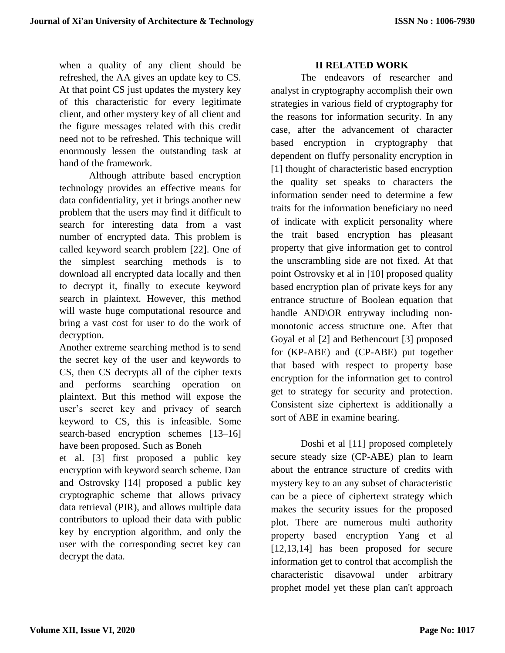when a quality of any client should be refreshed, the AA gives an update key to CS. At that point CS just updates the mystery key of this characteristic for every legitimate client, and other mystery key of all client and the figure messages related with this credit need not to be refreshed. This technique will enormously lessen the outstanding task at hand of the framework.

Although attribute based encryption technology provides an effective means for data confidentiality, yet it brings another new problem that the users may find it difficult to search for interesting data from a vast number of encrypted data. This problem is called keyword search problem [22]. One of the simplest searching methods is to download all encrypted data locally and then to decrypt it, finally to execute keyword search in plaintext. However, this method will waste huge computational resource and bring a vast cost for user to do the work of decryption.

Another extreme searching method is to send the secret key of the user and keywords to CS, then CS decrypts all of the cipher texts and performs searching operation on plaintext. But this method will expose the user's secret key and privacy of search keyword to CS, this is infeasible. Some search-based encryption schemes [13–16] have been proposed. Such as Boneh

et al. [3] first proposed a public key encryption with keyword search scheme. Dan and Ostrovsky [14] proposed a public key cryptographic scheme that allows privacy data retrieval (PIR), and allows multiple data contributors to upload their data with public key by encryption algorithm, and only the user with the corresponding secret key can decrypt the data.

## **II RELATED WORK**

The endeavors of researcher and analyst in cryptography accomplish their own strategies in various field of cryptography for the reasons for information security. In any case, after the advancement of character based encryption in cryptography that dependent on fluffy personality encryption in [1] thought of characteristic based encryption the quality set speaks to characters the information sender need to determine a few traits for the information beneficiary no need of indicate with explicit personality where the trait based encryption has pleasant property that give information get to control the unscrambling side are not fixed. At that point Ostrovsky et al in [10] proposed quality based encryption plan of private keys for any entrance structure of Boolean equation that handle AND\OR entryway including nonmonotonic access structure one. After that Goyal et al [2] and Bethencourt [3] proposed for (KP-ABE) and (CP-ABE) put together that based with respect to property base encryption for the information get to control get to strategy for security and protection. Consistent size ciphertext is additionally a sort of ABE in examine bearing.

Doshi et al [11] proposed completely secure steady size (CP-ABE) plan to learn about the entrance structure of credits with mystery key to an any subset of characteristic can be a piece of ciphertext strategy which makes the security issues for the proposed plot. There are numerous multi authority property based encryption Yang et al [12,13,14] has been proposed for secure information get to control that accomplish the characteristic disavowal under arbitrary prophet model yet these plan can't approach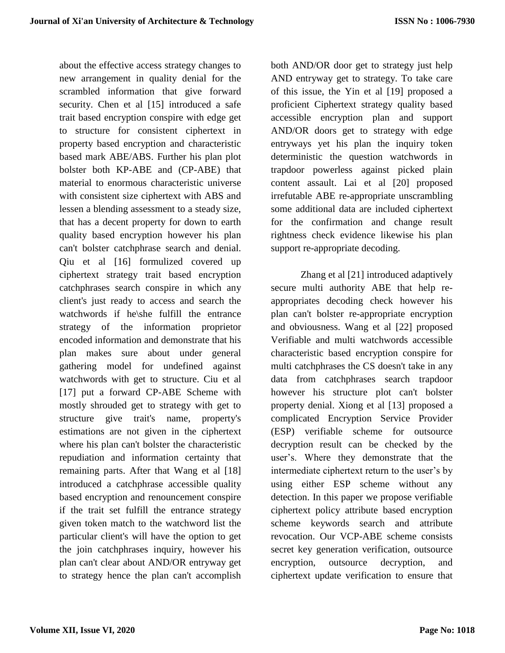about the effective access strategy changes to new arrangement in quality denial for the scrambled information that give forward security. Chen et al [15] introduced a safe trait based encryption conspire with edge get to structure for consistent ciphertext in property based encryption and characteristic based mark ABE/ABS. Further his plan plot bolster both KP-ABE and (CP-ABE) that material to enormous characteristic universe with consistent size ciphertext with ABS and lessen a blending assessment to a steady size, that has a decent property for down to earth quality based encryption however his plan can't bolster catchphrase search and denial. Qiu et al [16] formulized covered up ciphertext strategy trait based encryption catchphrases search conspire in which any client's just ready to access and search the watchwords if he\she fulfill the entrance strategy of the information proprietor encoded information and demonstrate that his plan makes sure about under general gathering model for undefined against watchwords with get to structure. Ciu et al [17] put a forward CP-ABE Scheme with mostly shrouded get to strategy with get to structure give trait's name, property's estimations are not given in the ciphertext where his plan can't bolster the characteristic repudiation and information certainty that remaining parts. After that Wang et al [18] introduced a catchphrase accessible quality based encryption and renouncement conspire if the trait set fulfill the entrance strategy given token match to the watchword list the particular client's will have the option to get the join catchphrases inquiry, however his plan can't clear about AND/OR entryway get to strategy hence the plan can't accomplish both AND/OR door get to strategy just help AND entryway get to strategy. To take care of this issue, the Yin et al [19] proposed a proficient Ciphertext strategy quality based accessible encryption plan and support AND/OR doors get to strategy with edge entryways yet his plan the inquiry token deterministic the question watchwords in trapdoor powerless against picked plain content assault. Lai et al [20] proposed irrefutable ABE re-appropriate unscrambling some additional data are included ciphertext for the confirmation and change result rightness check evidence likewise his plan support re-appropriate decoding.

Zhang et al [21] introduced adaptively secure multi authority ABE that help reappropriates decoding check however his plan can't bolster re-appropriate encryption and obviousness. Wang et al [22] proposed Verifiable and multi watchwords accessible characteristic based encryption conspire for multi catchphrases the CS doesn't take in any data from catchphrases search trapdoor however his structure plot can't bolster property denial. Xiong et al [13] proposed a complicated Encryption Service Provider (ESP) verifiable scheme for outsource decryption result can be checked by the user's. Where they demonstrate that the intermediate ciphertext return to the user's by using either ESP scheme without any detection. In this paper we propose verifiable ciphertext policy attribute based encryption scheme keywords search and attribute revocation. Our VCP-ABE scheme consists secret key generation verification, outsource encryption, outsource decryption, and ciphertext update verification to ensure that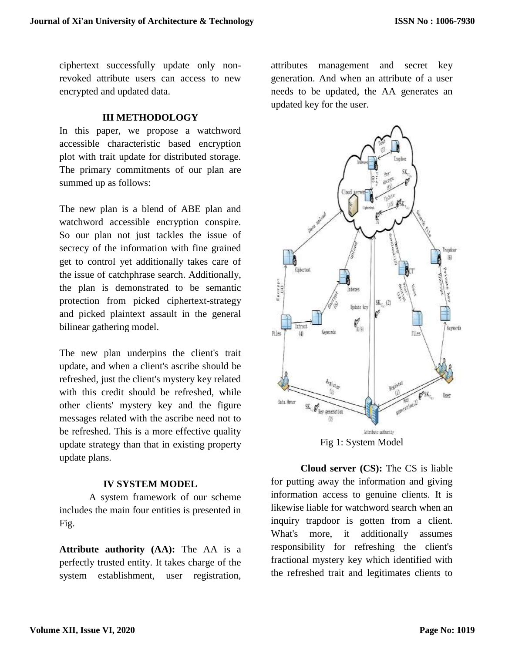ciphertext successfully update only nonrevoked attribute users can access to new encrypted and updated data.

#### **III METHODOLOGY**

In this paper, we propose a watchword accessible characteristic based encryption plot with trait update for distributed storage. The primary commitments of our plan are summed up as follows:

The new plan is a blend of ABE plan and watchword accessible encryption conspire. So our plan not just tackles the issue of secrecy of the information with fine grained get to control yet additionally takes care of the issue of catchphrase search. Additionally, the plan is demonstrated to be semantic protection from picked ciphertext-strategy and picked plaintext assault in the general bilinear gathering model.

The new plan underpins the client's trait update, and when a client's ascribe should be refreshed, just the client's mystery key related with this credit should be refreshed, while other clients' mystery key and the figure messages related with the ascribe need not to be refreshed. This is a more effective quality update strategy than that in existing property update plans.

#### **IV SYSTEM MODEL**

A system framework of our scheme includes the main four entities is presented in Fig.

**Attribute authority (AA):** The AA is a perfectly trusted entity. It takes charge of the system establishment, user registration, attributes management and secret key generation. And when an attribute of a user needs to be updated, the AA generates an updated key for the user.



Fig 1: System Model

**Cloud server (CS):** The CS is liable for putting away the information and giving information access to genuine clients. It is likewise liable for watchword search when an inquiry trapdoor is gotten from a client. What's more, it additionally assumes responsibility for refreshing the client's fractional mystery key which identified with the refreshed trait and legitimates clients to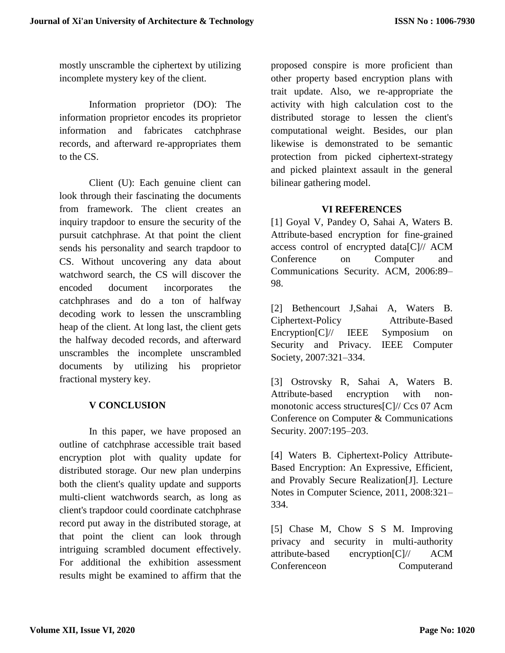mostly unscramble the ciphertext by utilizing incomplete mystery key of the client.

Information proprietor (DO): The information proprietor encodes its proprietor information and fabricates catchphrase records, and afterward re-appropriates them to the CS.

Client (U): Each genuine client can look through their fascinating the documents from framework. The client creates an inquiry trapdoor to ensure the security of the pursuit catchphrase. At that point the client sends his personality and search trapdoor to CS. Without uncovering any data about watchword search, the CS will discover the encoded document incorporates the catchphrases and do a ton of halfway decoding work to lessen the unscrambling heap of the client. At long last, the client gets the halfway decoded records, and afterward unscrambles the incomplete unscrambled documents by utilizing his proprietor fractional mystery key.

# **V CONCLUSION**

In this paper, we have proposed an outline of catchphrase accessible trait based encryption plot with quality update for distributed storage. Our new plan underpins both the client's quality update and supports multi-client watchwords search, as long as client's trapdoor could coordinate catchphrase record put away in the distributed storage, at that point the client can look through intriguing scrambled document effectively. For additional the exhibition assessment results might be examined to affirm that the

proposed conspire is more proficient than other property based encryption plans with trait update. Also, we re-appropriate the activity with high calculation cost to the distributed storage to lessen the client's computational weight. Besides, our plan likewise is demonstrated to be semantic protection from picked ciphertext-strategy and picked plaintext assault in the general bilinear gathering model.

## **VI REFERENCES**

[1] Goyal V, Pandey O, Sahai A, Waters B. Attribute-based encryption for fine-grained access control of encrypted data[C]// ACM Conference on Computer and Communications Security. ACM, 2006:89– 98.

[2] Bethencourt J,Sahai A, Waters B. Ciphertext-Policy Attribute-Based Encryption[C]// IEEE Symposium on Security and Privacy. IEEE Computer Society, 2007:321–334.

[3] Ostrovsky R, Sahai A, Waters B. Attribute-based encryption with nonmonotonic access structures[C]// Ccs 07 Acm Conference on Computer & Communications Security. 2007:195–203.

[4] Waters B. Ciphertext-Policy Attribute-Based Encryption: An Expressive, Efficient, and Provably Secure Realization[J]. Lecture Notes in Computer Science, 2011, 2008:321– 334.

[5] Chase M, Chow S S M. Improving privacy and security in multi-authority attribute-based encryption[C]// ACM Conferenceon Computerand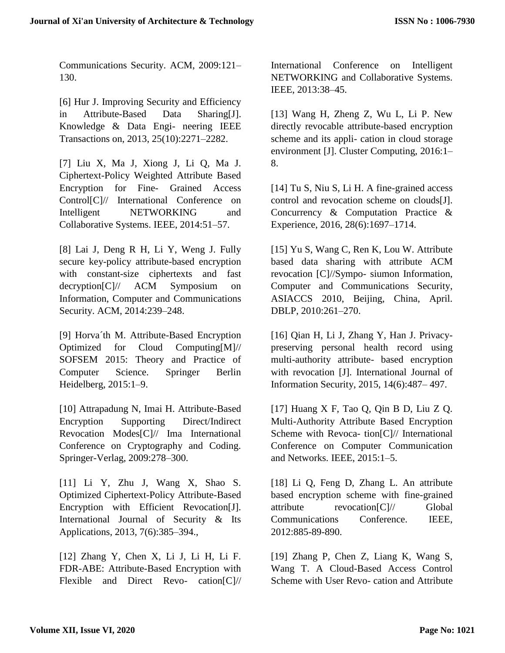Communications Security. ACM, 2009:121– 130.

[6] Hur J. Improving Security and Efficiency in Attribute-Based Data Sharing[J]. Knowledge & Data Engi- neering IEEE Transactions on, 2013, 25(10):2271–2282.

[7] Liu X, Ma J, Xiong J, Li Q, Ma J. Ciphertext-Policy Weighted Attribute Based Encryption for Fine- Grained Access Control[C]// International Conference on Intelligent NETWORKING and Collaborative Systems. IEEE, 2014:51–57.

[8] Lai J, Deng R H, Li Y, Weng J. Fully secure key-policy attribute-based encryption with constant-size ciphertexts and fast decryption[C]// ACM Symposium on Information, Computer and Communications Security. ACM, 2014:239–248.

[9] Horva´th M. Attribute-Based Encryption Optimized for Cloud Computing[M]// SOFSEM 2015: Theory and Practice of Computer Science. Springer Berlin Heidelberg, 2015:1–9.

[10] Attrapadung N, Imai H. Attribute-Based Encryption Supporting Direct/Indirect Revocation Modes[C]// Ima International Conference on Cryptography and Coding. Springer-Verlag, 2009:278–300.

[11] Li Y, Zhu J, Wang X, Shao S. Optimized Ciphertext-Policy Attribute-Based Encryption with Efficient Revocation[J]. International Journal of Security & Its Applications, 2013, 7(6):385–394.,

[12] Zhang Y, Chen X, Li J, Li H, Li F. FDR-ABE: Attribute-Based Encryption with Flexible and Direct Revo- cation[C]// International Conference on Intelligent NETWORKING and Collaborative Systems. IEEE, 2013:38–45.

[13] Wang H, Zheng Z, Wu L, Li P. New directly revocable attribute-based encryption scheme and its appli- cation in cloud storage environment [J]. Cluster Computing, 2016:1– 8.

[14] Tu S, Niu S, Li H. A fine-grained access control and revocation scheme on clouds[J]. Concurrency & Computation Practice & Experience, 2016, 28(6):1697–1714.

[15] Yu S, Wang C, Ren K, Lou W. Attribute based data sharing with attribute ACM revocation [C]//Sympo- siumon Information, Computer and Communications Security, ASIACCS 2010, Beijing, China, April. DBLP, 2010:261–270.

[16] Qian H, Li J, Zhang Y, Han J. Privacypreserving personal health record using multi-authority attribute- based encryption with revocation [J]. International Journal of Information Security, 2015, 14(6):487– 497.

[17] Huang X F, Tao Q, Qin B D, Liu Z Q. Multi-Authority Attribute Based Encryption Scheme with Revoca- tion[C]// International Conference on Computer Communication and Networks. IEEE, 2015:1–5.

[18] Li Q, Feng D, Zhang L. An attribute based encryption scheme with fine-grained attribute revocation[C]// Global Communications Conference. IEEE, 2012:885-89-890.

[19] Zhang P, Chen Z, Liang K, Wang S, Wang T. A Cloud-Based Access Control Scheme with User Revo- cation and Attribute